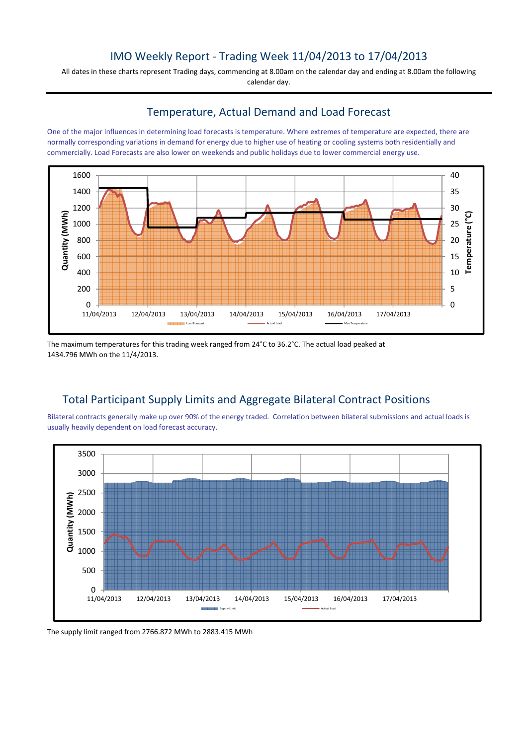# IMO Weekly Report - Trading Week 11/04/2013 to 17/04/2013

All dates in these charts represent Trading days, commencing at 8.00am on the calendar day and ending at 8.00am the following calendar day.

### Temperature, Actual Demand and Load Forecast

One of the major influences in determining load forecasts is temperature. Where extremes of temperature are expected, there are normally corresponding variations in demand for energy due to higher use of heating or cooling systems both residentially and commercially. Load Forecasts are also lower on weekends and public holidays due to lower commercial energy use.



The maximum temperatures for this trading week ranged from 24°C to 36.2°C. The actual load peaked at 1434.796 MWh on the 11/4/2013.

## Total Participant Supply Limits and Aggregate Bilateral Contract Positions

Bilateral contracts generally make up over 90% of the energy traded. Correlation between bilateral submissions and actual loads is usually heavily dependent on load forecast accuracy.



The supply limit ranged from 2766.872 MWh to 2883.415 MWh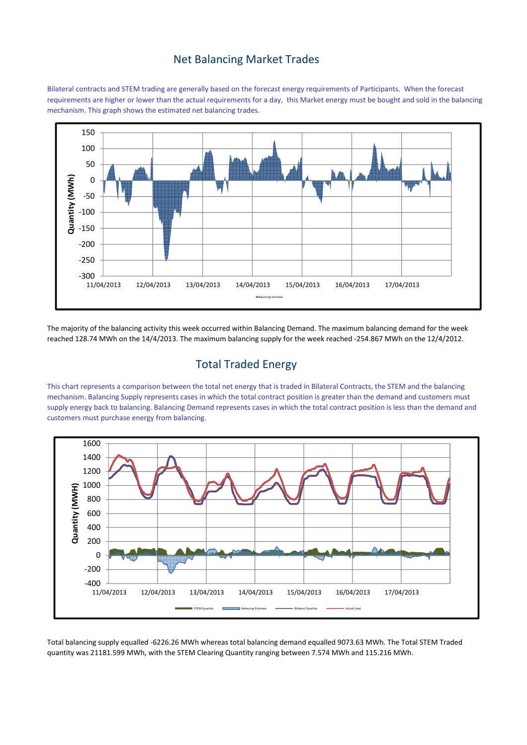### Net Balancing Market Trades

Bilateral contracts and STEM trading are generally based on the forecast energy requirements of Participants. When the forecast requirements are higher or lower than the actual requirements for a day, this Market energy must be bought and sold in the balancing mechanism. This graph shows the estimated net balancing trades.



The majority of the balancing activity this week occurred within Balancing Demand. The maximum balancing demand for the week reached 128.74 MWh on the 14/4/2013. The maximum balancing supply for the week reached -254.867 MWh on the 12/4/2012.

## Total Traded Energy

This chart represents a comparison between the total net energy that is traded in Bilateral Contracts, the STEM and the balancing mechanism. Balancing Supply represents cases in which the total contract position is greater than the demand and customers must supply energy back to balancing. Balancing Demand represents cases in which the total contract position is less than the demand and customers must purchase energy from balancing.



Total balancing supply equalled -6226.26 MWh whereas total balancing demand equalled 9073.63 MWh. The Total STEM Traded quantity was 21181.599 MWh, with the STEM Clearing Quantity ranging between 7.574 MWh and 115.216 MWh.